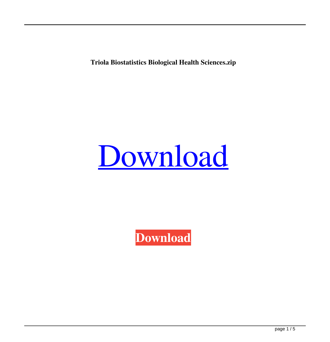**Triola Biostatistics Biological Health Sciences.zip**

## [Download](http://evacdir.com/expectable/kept/warmest/possessively.thwarted?ZG93bmxvYWR8WTJuYjJvM2ZId3hOalV5TnpRd09EWTJmSHd5TlRjMGZId29UU2tnY21WaFpDMWliRzluSUZ0R1lYTjBJRWRGVGww=.dHJpb2xhIGJpb3N0YXRpc3RpY3MgYmlvbG9naWNhbCBoZWFsdGggc2NpZW5jZXMuemlwdHJ)

**[Download](http://evacdir.com/expectable/kept/warmest/possessively.thwarted?ZG93bmxvYWR8WTJuYjJvM2ZId3hOalV5TnpRd09EWTJmSHd5TlRjMGZId29UU2tnY21WaFpDMWliRzluSUZ0R1lYTjBJRWRGVGww=.dHJpb2xhIGJpb3N0YXRpc3RpY3MgYmlvbG9naWNhbCBoZWFsdGggc2NpZW5jZXMuemlwdHJ)**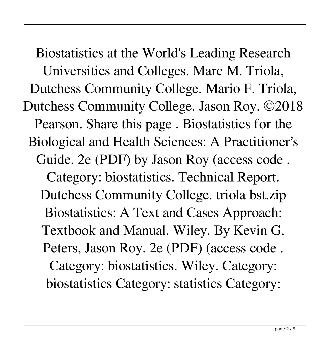Biostatistics at the World's Leading Research Universities and Colleges. Marc M. Triola, Dutchess Community College. Mario F. Triola, Dutchess Community College. Jason Roy. ©2018 Pearson. Share this page . Biostatistics for the Biological and Health Sciences: A Practitioner's Guide. 2e (PDF) by Jason Roy (access code . Category: biostatistics. Technical Report. Dutchess Community College. triola bst.zip Biostatistics: A Text and Cases Approach: Textbook and Manual. Wiley. By Kevin G. Peters, Jason Roy. 2e (PDF) (access code . Category: biostatistics. Wiley. Category: biostatistics Category: statistics Category: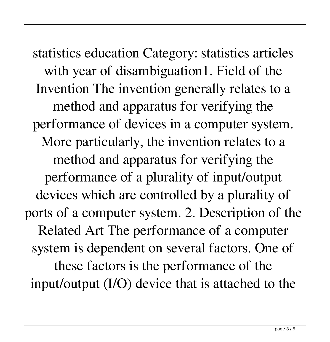statistics education Category: statistics articles with year of disambiguation1. Field of the Invention The invention generally relates to a method and apparatus for verifying the performance of devices in a computer system. More particularly, the invention relates to a method and apparatus for verifying the performance of a plurality of input/output devices which are controlled by a plurality of ports of a computer system. 2. Description of the Related Art The performance of a computer system is dependent on several factors. One of these factors is the performance of the input/output (I/O) device that is attached to the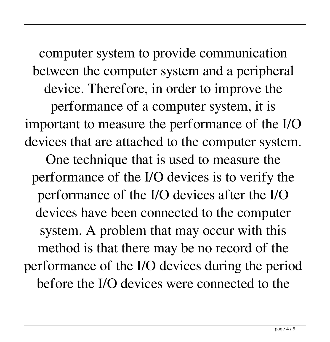computer system to provide communication between the computer system and a peripheral device. Therefore, in order to improve the performance of a computer system, it is important to measure the performance of the I/O devices that are attached to the computer system. One technique that is used to measure the performance of the I/O devices is to verify the performance of the I/O devices after the I/O devices have been connected to the computer system. A problem that may occur with this method is that there may be no record of the

performance of the I/O devices during the period before the I/O devices were connected to the